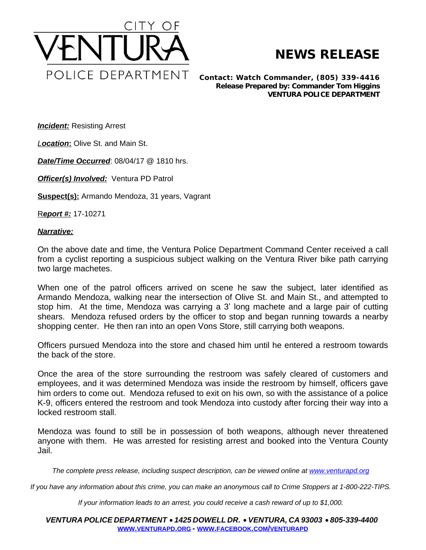

## **NEWS RELEASE**

*Contact: Watch Commander, (805) 339-4416 Release Prepared by: Commander Tom Higgins* **VENTURA POLICE DEPARTMENT**

**Incident:** Resisting Arrest

*Location***:** Olive St. and Main St.

*Date/Time Occurred*: 08/04/17 @ 1810 hrs.

*Officer(s) Involved:* Ventura PD Patrol

**Suspect(s):** Armando Mendoza, 31 years, Vagrant

R*eport #:* 17-10271

## *Narrative:*

On the above date and time, the Ventura Police Department Command Center received a call from a cyclist reporting a suspicious subject walking on the Ventura River bike path carrying two large machetes.

When one of the patrol officers arrived on scene he saw the subject, later identified as Armando Mendoza, walking near the intersection of Olive St. and Main St., and attempted to stop him. At the time, Mendoza was carrying a 3' long machete and a large pair of cutting shears. Mendoza refused orders by the officer to stop and began running towards a nearby shopping center. He then ran into an open Vons Store, still carrying both weapons.

Officers pursued Mendoza into the store and chased him until he entered a restroom towards the back of the store.

Once the area of the store surrounding the restroom was safely cleared of customers and employees, and it was determined Mendoza was inside the restroom by himself, officers gave him orders to come out. Mendoza refused to exit on his own, so with the assistance of a police K-9, officers entered the restroom and took Mendoza into custody after forcing their way into a locked restroom stall.

Mendoza was found to still be in possession of both weapons, although never threatened anyone with them. He was arrested for resisting arrest and booked into the Ventura County Jail.

The complete press release, including suspect description, can be viewed online at [www.venturapd.org](http://www.venturapd.org)

*If you have any information about this crime, you can make an anonymous call to Crime Stoppers at 1-800-222-TIPS.*

*If your information leads to an arrest, you could receive a cash reward of up to \$1,000.*

*VENTURA POLICE DEPARTMENT* · *1425 DOWELL DR.* · *VENTURA, CA 93003* · *805-339-4400* **WWW.[VENTURAPD](http://www.venturapd.org).ORG** *-* **WWW.FACEBOOK.COM/[VENTURAPD](http://www.facebook.com/venturapd)**